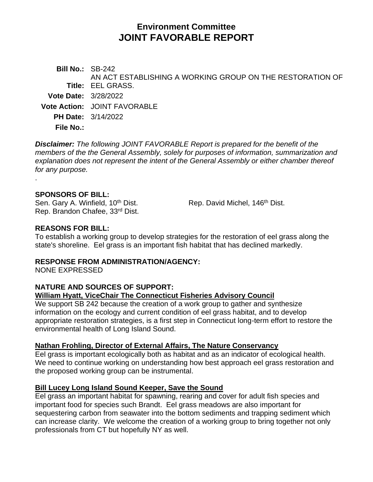# **Environment Committee JOINT FAVORABLE REPORT**

**Bill No.:** SB-242 **Title:** EEL GRASS. AN ACT ESTABLISHING A WORKING GROUP ON THE RESTORATION OF **Vote Date:** 3/28/2022 **Vote Action:** JOINT FAVORABLE **PH Date:** 3/14/2022 **File No.:**

*Disclaimer: The following JOINT FAVORABLE Report is prepared for the benefit of the members of the the General Assembly, solely for purposes of information, summarization and explanation does not represent the intent of the General Assembly or either chamber thereof for any purpose.*

#### **SPONSORS OF BILL:**

.

Sen. Gary A. Winfield, 10<sup>th</sup> Dist. Rep. David Michel, 146<sup>th</sup> Dist. Rep. Brandon Chafee, 33rd Dist.

#### **REASONS FOR BILL:**

To establish a working group to develop strategies for the restoration of eel grass along the state's shoreline. Eel grass is an important fish habitat that has declined markedly.

#### **RESPONSE FROM ADMINISTRATION/AGENCY:**

NONE EXPRESSED

## **NATURE AND SOURCES OF SUPPORT:**

#### **William Hyatt, ViceChair The Connecticut Fisheries Advisory Council**

We support SB 242 because the creation of a work group to gather and synthesize information on the ecology and current condition of eel grass habitat, and to develop appropriate restoration strategies, is a first step in Connecticut long-term effort to restore the environmental health of Long Island Sound.

#### **Nathan Frohling, Director of External Affairs, The Nature Conservancy**

Eel grass is important ecologically both as habitat and as an indicator of ecological health. We need to continue working on understanding how best approach eel grass restoration and the proposed working group can be instrumental.

#### **Bill Lucey Long Island Sound Keeper, Save the Sound**

Eel grass an important habitat for spawning, rearing and cover for adult fish species and important food for species such Brandt. Eel grass meadows are also important for sequestering carbon from seawater into the bottom sediments and trapping sediment which can increase clarity. We welcome the creation of a working group to bring together not only professionals from CT but hopefully NY as well.